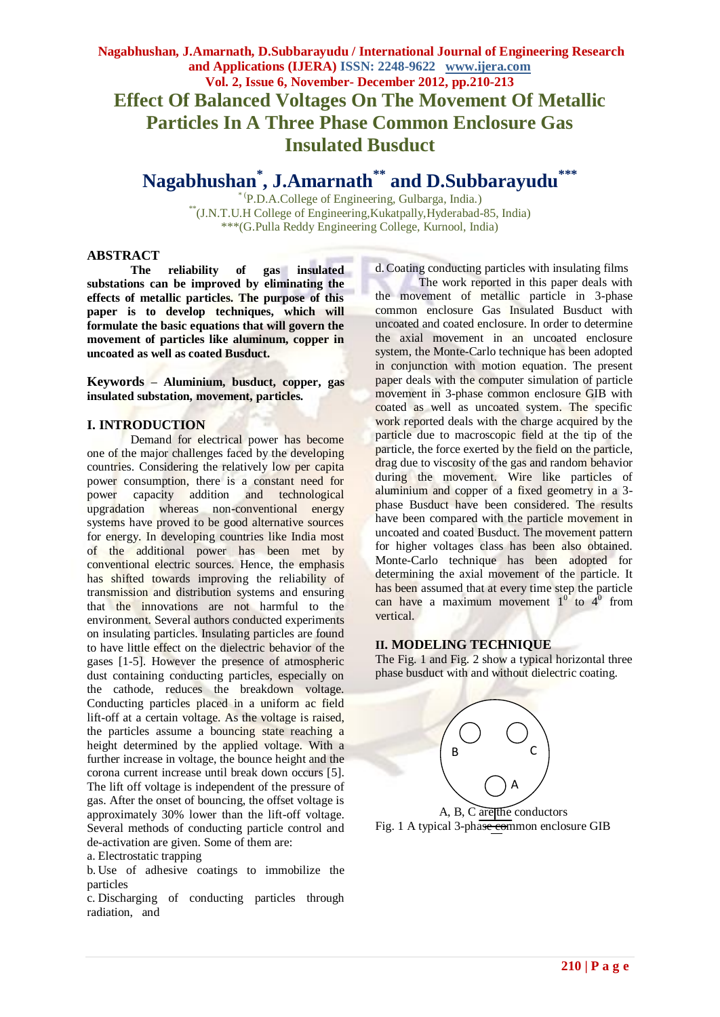# **Nagabhushan, J.Amarnath, D.Subbarayudu / International Journal of Engineering Research and Applications (IJERA) ISSN: 2248-9622 www.ijera.com Vol. 2, Issue 6, November- December 2012, pp.210-213 Effect Of Balanced Voltages On The Movement Of Metallic Particles In A Three Phase Common Enclosure Gas Insulated Busduct**

**Nagabhushan\* , J.Amarnath\*\* and D.Subbarayudu\*\*\***

\* (P.D.A.College of Engineering, Gulbarga, India.) \*\*(J.N.T.U.H College of Engineering,Kukatpally,Hyderabad-85, India) \*\*\*(G.Pulla Reddy Engineering College, Kurnool, India)

### **ABSTRACT**

**The reliability of gas insulated substations can be improved by eliminating the effects of metallic particles. The purpose of this paper is to develop techniques, which will formulate the basic equations that will govern the movement of particles like aluminum, copper in uncoated as well as coated Busduct.**

**Keywords – Aluminium, busduct, copper, gas insulated substation, movement, particles.**

#### **I. INTRODUCTION**

Demand for electrical power has become one of the major challenges faced by the developing countries. Considering the relatively low per capita power consumption, there is a constant need for power capacity addition and technological upgradation whereas non-conventional energy systems have proved to be good alternative sources for energy. In developing countries like India most of the additional power has been met by conventional electric sources. Hence, the emphasis has shifted towards improving the reliability of transmission and distribution systems and ensuring that the innovations are not harmful to the environment. Several authors conducted experiments on insulating particles. Insulating particles are found to have little effect on the dielectric behavior of the gases [1-5]. However the presence of atmospheric dust containing conducting particles, especially on the cathode, reduces the breakdown voltage. Conducting particles placed in a uniform ac field lift-off at a certain voltage. As the voltage is raised, the particles assume a bouncing state reaching a height determined by the applied voltage. With a further increase in voltage, the bounce height and the corona current increase until break down occurs [5]. The lift off voltage is independent of the pressure of gas. After the onset of bouncing, the offset voltage is approximately 30% lower than the lift-off voltage. Several methods of conducting particle control and de-activation are given. Some of them are:

a. Electrostatic trapping

b. Use of adhesive coatings to immobilize the particles

c. Discharging of conducting particles through radiation, and

d.Coating conducting particles with insulating films

The work reported in this paper deals with the movement of metallic particle in 3-phase common enclosure Gas Insulated Busduct with uncoated and coated enclosure. In order to determine the axial movement in an uncoated enclosure system, the Monte-Carlo technique has been adopted in conjunction with motion equation. The present paper deals with the computer simulation of particle movement in 3-phase common enclosure GIB with coated as well as uncoated system. The specific work reported deals with the charge acquired by the particle due to macroscopic field at the tip of the particle, the force exerted by the field on the particle, drag due to viscosity of the gas and random behavior during the movement. Wire like particles of aluminium and copper of a fixed geometry in a 3 phase Busduct have been considered. The results have been compared with the particle movement in uncoated and coated Busduct. The movement pattern for higher voltages class has been also obtained. Monte-Carlo technique has been adopted for determining the axial movement of the particle. It has been assumed that at every time step the particle can have a maximum movement  $1^{0}$  to  $4^{0}$  from vertical.

### **II. MODELING TECHNIQUE**

The Fig. 1 and Fig. 2 show a typical horizontal three phase busduct with and without dielectric coating.



Fig. 1 A typical 3-phase common enclosure GIB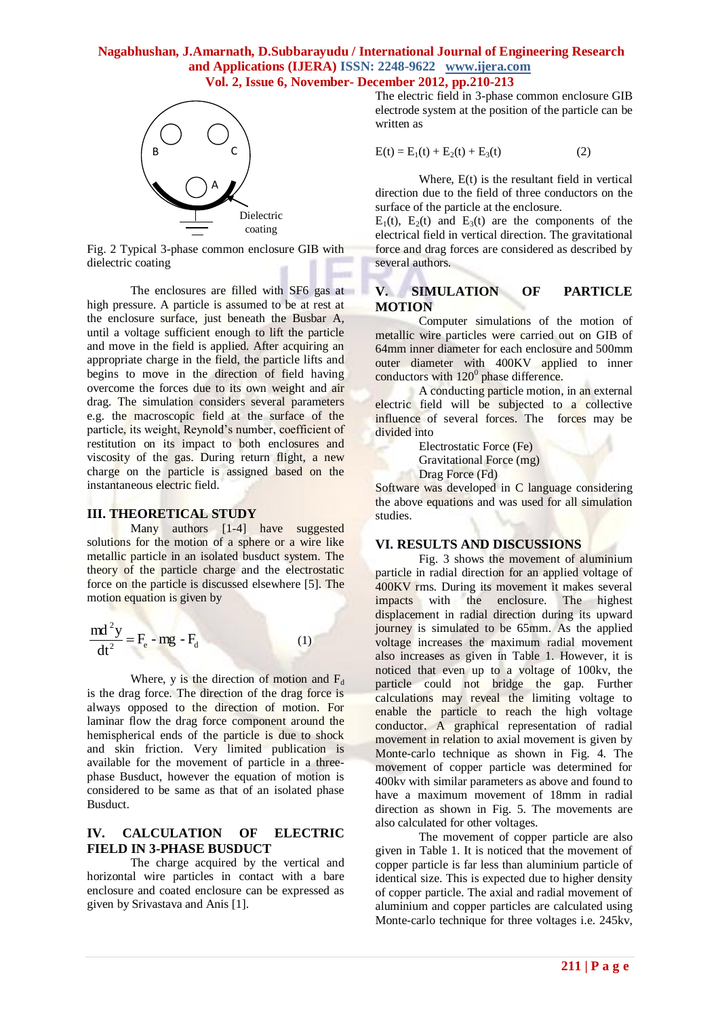### **Nagabhushan, J.Amarnath, D.Subbarayudu / International Journal of Engineering Research and Applications (IJERA) ISSN: 2248-9622 www.ijera.com Vol. 2, Issue 6, November- December 2012, pp.210-213**



Fig. 2 Typical 3-phase common enclosure GIB with dielectric coating

The enclosures are filled with SF6 gas at high pressure. A particle is assumed to be at rest at the enclosure surface, just beneath the Busbar A, until a voltage sufficient enough to lift the particle and move in the field is applied. After acquiring an appropriate charge in the field, the particle lifts and begins to move in the direction of field having overcome the forces due to its own weight and air drag. The simulation considers several parameters e.g. the macroscopic field at the surface of the particle, its weight, Reynold's number, coefficient of restitution on its impact to both enclosures and viscosity of the gas. During return flight, a new charge on the particle is assigned based on the instantaneous electric field.

#### **III. THEORETICAL STUDY**

Many authors [1-4] have suggested solutions for the motion of a sphere or a wire like metallic particle in an isolated busduct system. The theory of the particle charge and the electrostatic force on the particle is discussed elsewhere [5]. The motion equation is given by

$$
\frac{md^2y}{dt^2} = F_e - mg - F_d
$$
 (1)

Where, y is the direction of motion and  $F_d$ is the drag force. The direction of the drag force is always opposed to the direction of motion. For laminar flow the drag force component around the hemispherical ends of the particle is due to shock and skin friction. Very limited publication is available for the movement of particle in a threephase Busduct, however the equation of motion is considered to be same as that of an isolated phase Busduct.

## **IV. CALCULATION OF ELECTRIC FIELD IN 3-PHASE BUSDUCT**

The charge acquired by the vertical and horizontal wire particles in contact with a bare enclosure and coated enclosure can be expressed as given by Srivastava and Anis [1].

The electric field in 3-phase common enclosure GIB electrode system at the position of the particle can be written as

$$
E(t) = E_1(t) + E_2(t) + E_3(t)
$$
 (2)

Where, E(t) is the resultant field in vertical direction due to the field of three conductors on the surface of the particle at the enclosure.

 $E_1(t)$ ,  $E_2(t)$  and  $E_3(t)$  are the components of the electrical field in vertical direction. The gravitational force and drag forces are considered as described by several authors.

# **V. SIMULATION OF PARTICLE MOTION**

Computer simulations of the motion of metallic wire particles were carried out on GIB of 64mm inner diameter for each enclosure and 500mm outer diameter with 400KV applied to inner conductors with  $120<sup>0</sup>$  phase difference.

A conducting particle motion, in an external electric field will be subjected to a collective influence of several forces. The forces may be divided into

> Electrostatic Force (Fe) Gravitational Force (mg) Drag Force (Fd)

Software was developed in C language considering the above equations and was used for all simulation studies.

# **VI. RESULTS AND DISCUSSIONS**

Fig. 3 shows the movement of aluminium particle in radial direction for an applied voltage of 400KV rms. During its movement it makes several impacts with the enclosure. The highest displacement in radial direction during its upward journey is simulated to be 65mm. As the applied voltage increases the maximum radial movement also increases as given in Table 1. However, it is noticed that even up to a voltage of 100kv, the particle could not bridge the gap. Further calculations may reveal the limiting voltage to enable the particle to reach the high voltage conductor. A graphical representation of radial movement in relation to axial movement is given by Monte-carlo technique as shown in Fig. 4. The movement of copper particle was determined for 400kv with similar parameters as above and found to have a maximum movement of 18mm in radial direction as shown in Fig. 5. The movements are also calculated for other voltages.

The movement of copper particle are also given in Table 1. It is noticed that the movement of copper particle is far less than aluminium particle of identical size. This is expected due to higher density of copper particle. The axial and radial movement of aluminium and copper particles are calculated using Monte-carlo technique for three voltages i.e. 245kv,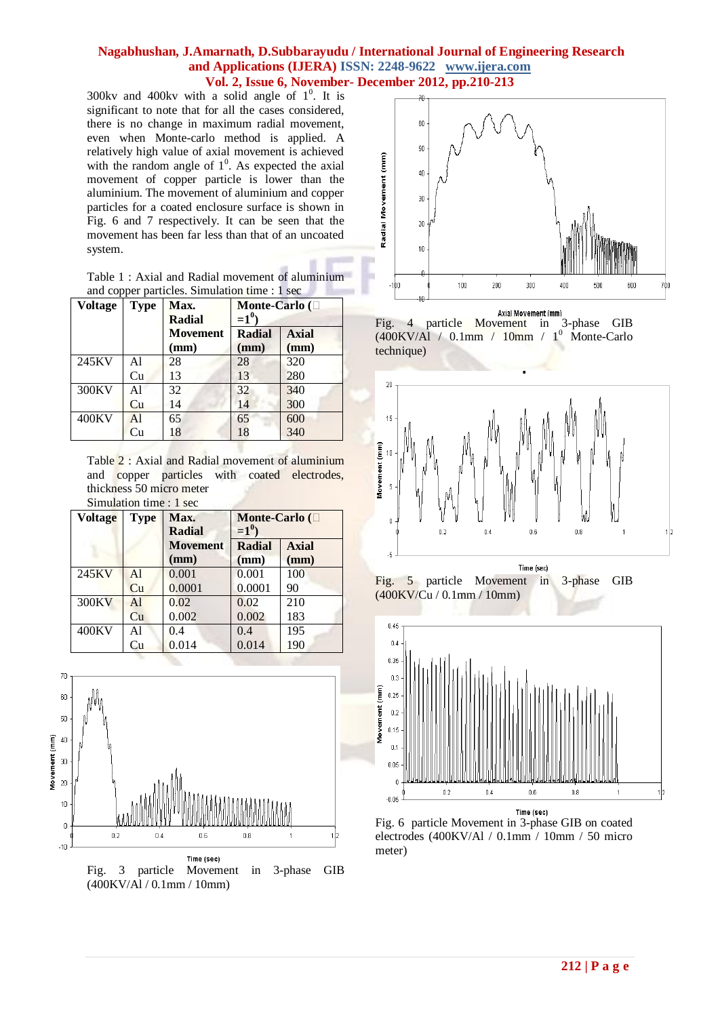### **Nagabhushan, J.Amarnath, D.Subbarayudu / International Journal of Engineering Research and Applications (IJERA) ISSN: 2248-9622 www.ijera.com Vol. 2, Issue 6, November- December 2012, pp.210-213**

■ 下

300kv and 400kv with a solid angle of  $1^0$ . It is significant to note that for all the cases considered, there is no change in maximum radial movement, even when Monte-carlo method is applied. A relatively high value of axial movement is achieved with the random angle of  $1^0$ . As expected the axial movement of copper particle is lower than the aluminium. The movement of aluminium and copper particles for a coated enclosure surface is shown in Fig. 6 and 7 respectively. It can be seen that the movement has been far less than that of an uncoated system.

|                                               |  | Table 1: Axial and Radial movement of aluminium |
|-----------------------------------------------|--|-------------------------------------------------|
| and copper particles. Simulation time : 1 sec |  |                                                 |

| <b>Voltage</b> | <b>Type</b> | Max.            | Monte-Carlo ( $\square$ |              |
|----------------|-------------|-----------------|-------------------------|--------------|
|                |             | Radial          | $=1^{0}$                |              |
|                |             | <b>Movement</b> | <b>Radial</b>           | <b>Axial</b> |
|                |             | (mm)            | (mm)                    | (mm)         |
| 245KV          | Al          | 28              | 28                      | 320          |
|                | Cu          | 13              | 13                      | 280          |
| 300KV          | Al          | 32              | 32                      | 340          |
|                | Cu          | 14              | 14                      | 300          |
| 400KV          | AI          | 65              | 65                      | 600          |
|                | Cu          | 18              | 18                      | 340          |

Table 2 : Axial and Radial movement of aluminium and copper particles with coated electrodes, thickness 50 micro meter Simulation time : 1 sec

| <b>Voltage</b> | <b>Type</b>    | Max.<br><b>Radial</b> | Monte-Carlo $(\Box$<br>$=1^0$ |              |
|----------------|----------------|-----------------------|-------------------------------|--------------|
|                |                | <b>Movement</b>       | <b>Radial</b>                 | <b>Axial</b> |
|                |                | (mm)                  | (mm)                          | (mm)         |
| 245KV          | A <sup>1</sup> | 0.001                 | 0.001                         | 100          |
|                | Cu             | 0.0001                | 0.0001                        | 90           |
| 300KV          | AI             | 0.02                  | 0.02                          | 210          |
|                | Cu             | 0.002                 | 0.002                         | 183          |
| 400KV          | Al             | 0.4                   | 0.4                           | 195          |
|                | Cu             | 0.014                 | 0.014                         | 190          |



Fig. 3 particle Movement in 3-phase GIB (400KV/Al / 0.1mm / 10mm)



Axial Movement (mm)<br>Fig. 4 particle Movement in 3-phase GIB  $(400\text{KV/A}$ l / 0.1mm / 10mm / 1<sup>0</sup> Monte-Carlo technique)



Fig. 5 particle Movement in 3-phase GIB (400KV/Cu / 0.1mm / 10mm)



Fig. 6 particle Movement in 3-phase GIB on coated electrodes (400KV/Al / 0.1mm / 10mm / 50 micro meter)